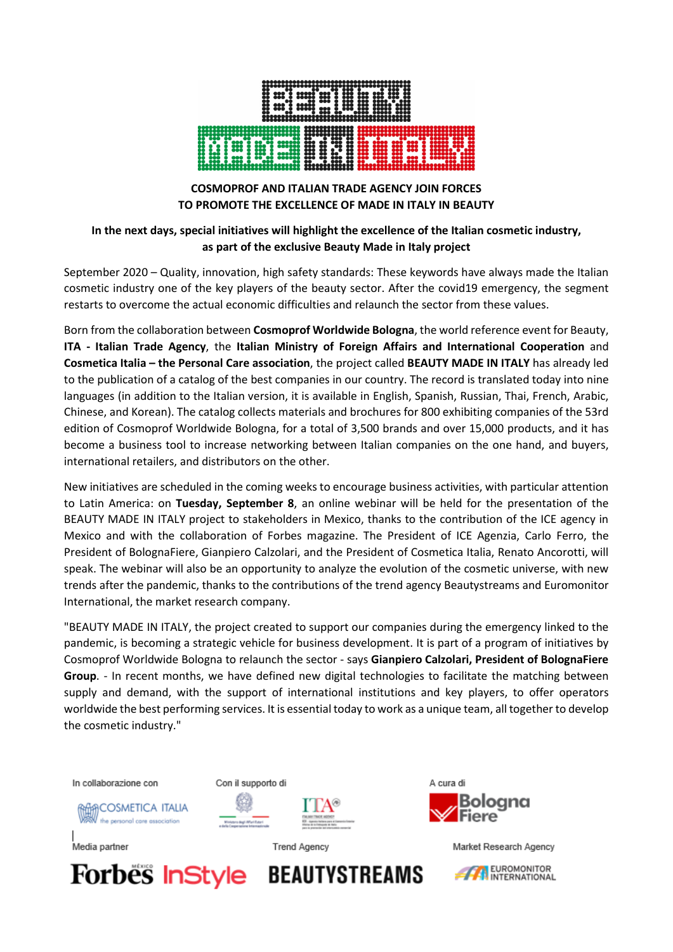

## **COSMOPROF AND ITALIAN TRADE AGENCY JOIN FORCES TO PROMOTE THE EXCELLENCE OF MADE IN ITALY IN BEAUTY**

## **In the next days, special initiatives will highlight the excellence of the Italian cosmetic industry, as part of the exclusive Beauty Made in Italy project**

September 2020 – Quality, innovation, high safety standards: These keywords have always made the Italian cosmetic industry one of the key players of the beauty sector. After the covid19 emergency, the segment restarts to overcome the actual economic difficulties and relaunch the sector from these values.

Born from the collaboration between **Cosmoprof Worldwide Bologna**, the world reference event for Beauty, **ITA - Italian Trade Agency**, the **Italian Ministry of Foreign Affairs and International Cooperation** and **Cosmetica Italia – the Personal Care association**, the project called **BEAUTY MADE IN ITALY** has already led to the publication of a catalog of the best companies in our country. The record is translated today into nine languages (in addition to the Italian version, it is available in English, Spanish, Russian, Thai, French, Arabic, Chinese, and Korean). The catalog collects materials and brochures for 800 exhibiting companies of the 53rd edition of Cosmoprof Worldwide Bologna, for a total of 3,500 brands and over 15,000 products, and it has become a business tool to increase networking between Italian companies on the one hand, and buyers, international retailers, and distributors on the other.

New initiatives are scheduled in the coming weeks to encourage business activities, with particular attention to Latin America: on **Tuesday, September 8**, an online webinar will be held for the presentation of the BEAUTY MADE IN ITALY project to stakeholders in Mexico, thanks to the contribution of the ICE agency in Mexico and with the collaboration of Forbes magazine. The President of ICE Agenzia, Carlo Ferro, the President of BolognaFiere, Gianpiero Calzolari, and the President of Cosmetica Italia, Renato Ancorotti, will speak. The webinar will also be an opportunity to analyze the evolution of the cosmetic universe, with new trends after the pandemic, thanks to the contributions of the trend agency Beautystreams and Euromonitor International, the market research company.

"BEAUTY MADE IN ITALY, the project created to support our companies during the emergency linked to the pandemic, is becoming a strategic vehicle for business development. It is part of a program of initiatives by Cosmoprof Worldwide Bologna to relaunch the sector - says **Gianpiero Calzolari, President of BolognaFiere Group**. - In recent months, we have defined new digital technologies to facilitate the matching between supply and demand, with the support of international institutions and key players, to offer operators worldwide the best performing services. It is essential today to work as a unique team, all together to develop the cosmetic industry."

In collaborazione con

Media partner

Con il supporto di





**Trend Agency** 





Market Research Agency

EUROMONITOR